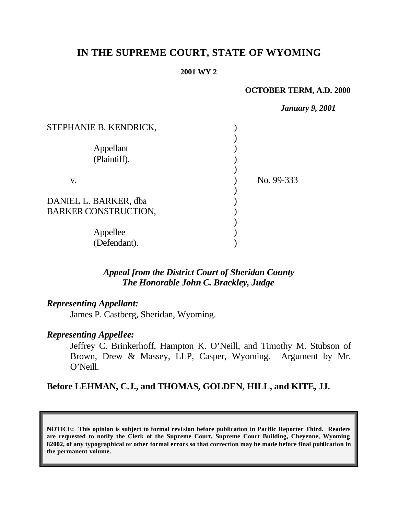# **IN THE SUPREME COURT, STATE OF WYOMING**

#### **2001 WY 2**

#### **OCTOBER TERM, A.D. 2000**

*January 9, 2001*

| STEPHANIE B. KENDRICK,                               |            |
|------------------------------------------------------|------------|
| Appellant<br>(Plaintiff),                            |            |
| V.                                                   | No. 99-333 |
| DANIEL L. BARKER, dba<br><b>BARKER CONSTRUCTION,</b> |            |
| Appellee<br>(Defendant).                             |            |

## *Appeal from the District Court of Sheridan County The Honorable John C. Brackley, Judge*

#### *Representing Appellant:*

James P. Castberg, Sheridan, Wyoming.

### *Representing Appellee:*

Jeffrey C. Brinkerhoff, Hampton K. O'Neill, and Timothy M. Stubson of Brown, Drew & Massey, LLP, Casper, Wyoming. Argument by Mr. O'Neill.

### **Before LEHMAN, C.J., and THOMAS, GOLDEN, HILL, and KITE, JJ.**

**NOTICE: This opinion is subject to formal revision before publication in Pacific Reporter Third. Readers are requested to notify the Clerk of the Supreme Court, Supreme Court Building, Cheyenne, Wyoming 82002, of any typographical or other formal errors so that correction may be made before final publication in the permanent volume.**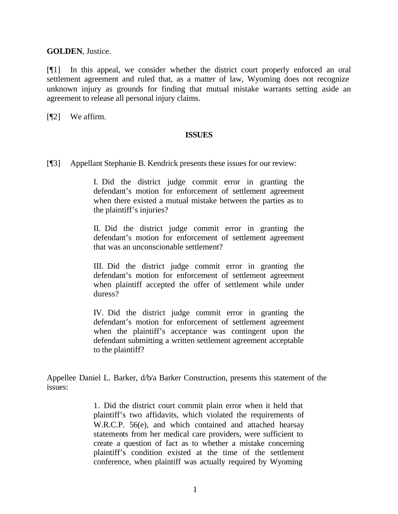**GOLDEN**, Justice.

[¶1] In this appeal, we consider whether the district court properly enforced an oral settlement agreement and ruled that, as a matter of law, Wyoming does not recognize unknown injury as grounds for finding that mutual mistake warrants setting aside an agreement to release all personal injury claims.

[¶2] We affirm.

#### **ISSUES**

[¶3] Appellant Stephanie B. Kendrick presents these issues for our review:

I. Did the district judge commit error in granting the defendant's motion for enforcement of settlement agreement when there existed a mutual mistake between the parties as to the plaintiff's injuries?

II. Did the district judge commit error in granting the defendant's motion for enforcement of settlement agreement that was an unconscionable settlement?

III. Did the district judge commit error in granting the defendant's motion for enforcement of settlement agreement when plaintiff accepted the offer of settlement while under duress?

IV. Did the district judge commit error in granting the defendant's motion for enforcement of settlement agreement when the plaintiff's acceptance was contingent upon the defendant submitting a written settlement agreement acceptable to the plaintiff?

Appellee Daniel L. Barker, d/b/a Barker Construction, presents this statement of the issues:

> 1. Did the district court commit plain error when it held that plaintiff's two affidavits, which violated the requirements of W.R.C.P. 56(e), and which contained and attached hearsay statements from her medical care providers, were sufficient to create a question of fact as to whether a mistake concerning plaintiff's condition existed at the time of the settlement conference, when plaintiff was actually required by Wyoming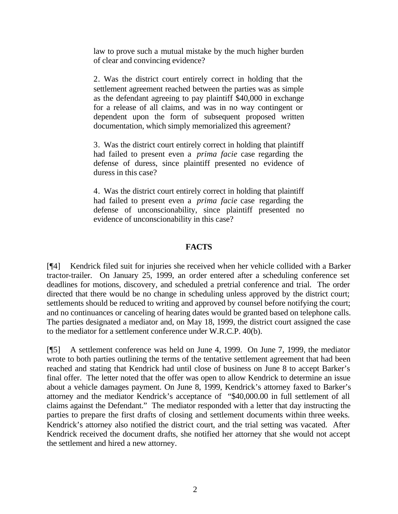law to prove such a mutual mistake by the much higher burden of clear and convincing evidence?

2. Was the district court entirely correct in holding that the settlement agreement reached between the parties was as simple as the defendant agreeing to pay plaintiff \$40,000 in exchange for a release of all claims, and was in no way contingent or dependent upon the form of subsequent proposed written documentation, which simply memorialized this agreement?

3. Was the district court entirely correct in holding that plaintiff had failed to present even a *prima facie* case regarding the defense of duress, since plaintiff presented no evidence of duress in this case?

4. Was the district court entirely correct in holding that plaintiff had failed to present even a *prima facie* case regarding the defense of unconscionability, since plaintiff presented no evidence of unconscionability in this case?

### **FACTS**

[¶4] Kendrick filed suit for injuries she received when her vehicle collided with a Barker tractor-trailer. On January 25, 1999, an order entered after a scheduling conference set deadlines for motions, discovery, and scheduled a pretrial conference and trial. The order directed that there would be no change in scheduling unless approved by the district court; settlements should be reduced to writing and approved by counsel before notifying the court; and no continuances or canceling of hearing dates would be granted based on telephone calls. The parties designated a mediator and, on May 18, 1999, the district court assigned the case to the mediator for a settlement conference under W.R.C.P. 40(b).

[¶5] A settlement conference was held on June 4, 1999. On June 7, 1999, the mediator wrote to both parties outlining the terms of the tentative settlement agreement that had been reached and stating that Kendrick had until close of business on June 8 to accept Barker's final offer. The letter noted that the offer was open to allow Kendrick to determine an issue about a vehicle damages payment. On June 8, 1999, Kendrick's attorney faxed to Barker's attorney and the mediator Kendrick's acceptance of "\$40,000.00 in full settlement of all claims against the Defendant." The mediator responded with a letter that day instructing the parties to prepare the first drafts of closing and settlement documents within three weeks. Kendrick's attorney also notified the district court, and the trial setting was vacated. After Kendrick received the document drafts, she notified her attorney that she would not accept the settlement and hired a new attorney.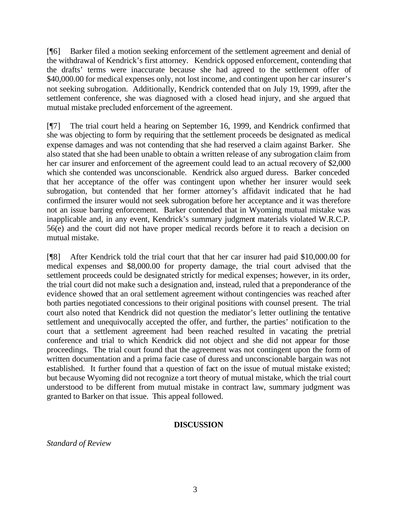[¶6] Barker filed a motion seeking enforcement of the settlement agreement and denial of the withdrawal of Kendrick's first attorney. Kendrick opposed enforcement, contending that the drafts' terms were inaccurate because she had agreed to the settlement offer of \$40,000.00 for medical expenses only, not lost income, and contingent upon her car insurer's not seeking subrogation. Additionally, Kendrick contended that on July 19, 1999, after the settlement conference, she was diagnosed with a closed head injury, and she argued that mutual mistake precluded enforcement of the agreement.

[¶7] The trial court held a hearing on September 16, 1999, and Kendrick confirmed that she was objecting to form by requiring that the settlement proceeds be designated as medical expense damages and was not contending that she had reserved a claim against Barker. She also stated that she had been unable to obtain a written release of any subrogation claim from her car insurer and enforcement of the agreement could lead to an actual recovery of \$2,000 which she contended was unconscionable. Kendrick also argued duress. Barker conceded that her acceptance of the offer was contingent upon whether her insurer would seek subrogation, but contended that her former attorney's affidavit indicated that he had confirmed the insurer would not seek subrogation before her acceptance and it was therefore not an issue barring enforcement. Barker contended that in Wyoming mutual mistake was inapplicable and, in any event, Kendrick's summary judgment materials violated W.R.C.P. 56(e) and the court did not have proper medical records before it to reach a decision on mutual mistake.

[¶8] After Kendrick told the trial court that that her car insurer had paid \$10,000.00 for medical expenses and \$8,000.00 for property damage, the trial court advised that the settlement proceeds could be designated strictly for medical expenses; however, in its order, the trial court did not make such a designation and, instead, ruled that a preponderance of the evidence showed that an oral settlement agreement without contingencies was reached after both parties negotiated concessions to their original positions with counsel present. The trial court also noted that Kendrick did not question the mediator's letter outlining the tentative settlement and unequivocally accepted the offer, and further, the parties' notification to the court that a settlement agreement had been reached resulted in vacating the pretrial conference and trial to which Kendrick did not object and she did not appear for those proceedings. The trial court found that the agreement was not contingent upon the form of written documentation and a prima facie case of duress and unconscionable bargain was not established. It further found that a question of fact on the issue of mutual mistake existed; but because Wyoming did not recognize a tort theory of mutual mistake, which the trial court understood to be different from mutual mistake in contract law, summary judgment was granted to Barker on that issue. This appeal followed.

#### **DISCUSSION**

*Standard of Review*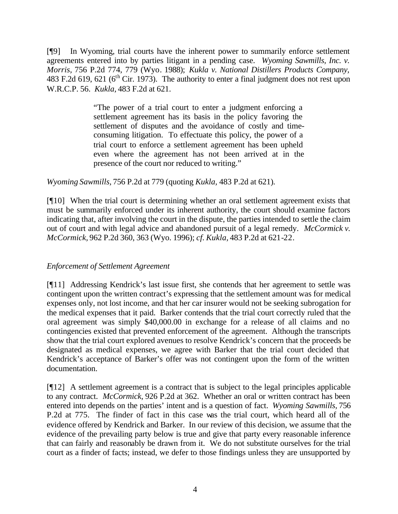[¶9] In Wyoming, trial courts have the inherent power to summarily enforce settlement agreements entered into by parties litigant in a pending case. *Wyoming Sawmills, Inc. v. Morris,* 756 P.2d 774, 779 (Wyo. 1988); *Kukla v. National Distillers Products Company,*  483 F.2d 619, 621 (6<sup>th</sup> Cir. 1973). The authority to enter a final judgment does not rest upon W.R.C.P. 56. *Kukla,* 483 F.2d at 621.

> "The power of a trial court to enter a judgment enforcing a settlement agreement has its basis in the policy favoring the settlement of disputes and the avoidance of costly and timeconsuming litigation. To effectuate this policy, the power of a trial court to enforce a settlement agreement has been upheld even where the agreement has not been arrived at in the presence of the court nor reduced to writing."

*Wyoming Sawmills,* 756 P.2d at 779 (quoting *Kukla,* 483 P.2d at 621)*.*

[¶10] When the trial court is determining whether an oral settlement agreement exists that must be summarily enforced under its inherent authority, the court should examine factors indicating that, after involving the court in the dispute, the parties intended to settle the claim out of court and with legal advice and abandoned pursuit of a legal remedy. *McCormick v. McCormick,* 962 P.2d 360, 363 (Wyo. 1996); *cf. Kukla,* 483 P.2d at 621-22.

#### *Enforcement of Settlement Agreement*

[¶11] Addressing Kendrick's last issue first, she contends that her agreement to settle was contingent upon the written contract's expressing that the settlement amount was for medical expenses only, not lost income, and that her car insurer would not be seeking subrogation for the medical expenses that it paid. Barker contends that the trial court correctly ruled that the oral agreement was simply \$40,000.00 in exchange for a release of all claims and no contingencies existed that prevented enforcement of the agreement. Although the transcripts show that the trial court explored avenues to resolve Kendrick's concern that the proceeds be designated as medical expenses, we agree with Barker that the trial court decided that Kendrick's acceptance of Barker's offer was not contingent upon the form of the written documentation.

[¶12] A settlement agreement is a contract that is subject to the legal principles applicable to any contract. *McCormick,* 926 P.2d at 362. Whether an oral or written contract has been entered into depends on the parties' intent and is a question of fact. *Wyoming Sawmills,* 756 P.2d at 775. The finder of fact in this case was the trial court, which heard all of the evidence offered by Kendrick and Barker. In our review of this decision, we assume that the evidence of the prevailing party below is true and give that party every reasonable inference that can fairly and reasonably be drawn from it. We do not substitute ourselves for the trial court as a finder of facts; instead, we defer to those findings unless they are unsupported by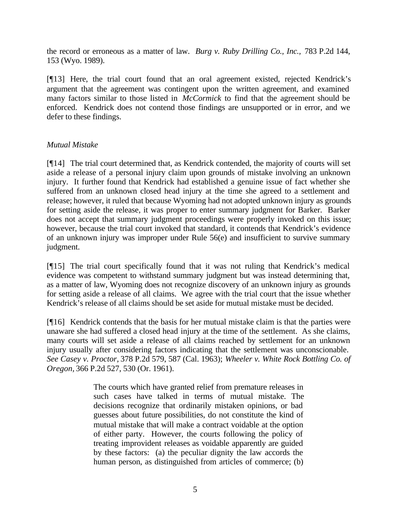the record or erroneous as a matter of law. *Burg v. Ruby Drilling Co., Inc.,* 783 P.2d 144, 153 (Wyo. 1989).

[¶13] Here, the trial court found that an oral agreement existed, rejected Kendrick's argument that the agreement was contingent upon the written agreement, and examined many factors similar to those listed in *McCormick* to find that the agreement should be enforced. Kendrick does not contend those findings are unsupported or in error, and we defer to these findings.

### *Mutual Mistake*

[¶14] The trial court determined that, as Kendrick contended, the majority of courts will set aside a release of a personal injury claim upon grounds of mistake involving an unknown injury. It further found that Kendrick had established a genuine issue of fact whether she suffered from an unknown closed head injury at the time she agreed to a settlement and release; however, it ruled that because Wyoming had not adopted unknown injury as grounds for setting aside the release, it was proper to enter summary judgment for Barker. Barker does not accept that summary judgment proceedings were properly invoked on this issue; however, because the trial court invoked that standard, it contends that Kendrick's evidence of an unknown injury was improper under Rule 56(e) and insufficient to survive summary judgment.

[¶15] The trial court specifically found that it was not ruling that Kendrick's medical evidence was competent to withstand summary judgment but was instead determining that, as a matter of law, Wyoming does not recognize discovery of an unknown injury as grounds for setting aside a release of all claims. We agree with the trial court that the issue whether Kendrick's release of all claims should be set aside for mutual mistake must be decided.

[¶16] Kendrick contends that the basis for her mutual mistake claim is that the parties were unaware she had suffered a closed head injury at the time of the settlement. As she claims, many courts will set aside a release of all claims reached by settlement for an unknown injury usually after considering factors indicating that the settlement was unconscionable. *See Casey v. Proctor,* 378 P.2d 579, 587 (Cal. 1963); *Wheeler v. White Rock Bottling Co. of Oregon,* 366 P.2d 527, 530 (Or. 1961).

> The courts which have granted relief from premature releases in such cases have talked in terms of mutual mistake. The decisions recognize that ordinarily mistaken opinions, or bad guesses about future possibilities, do not constitute the kind of mutual mistake that will make a contract voidable at the option of either party. However, the courts following the policy of treating improvident releases as voidable apparently are guided by these factors: (a) the peculiar dignity the law accords the human person, as distinguished from articles of commerce; (b)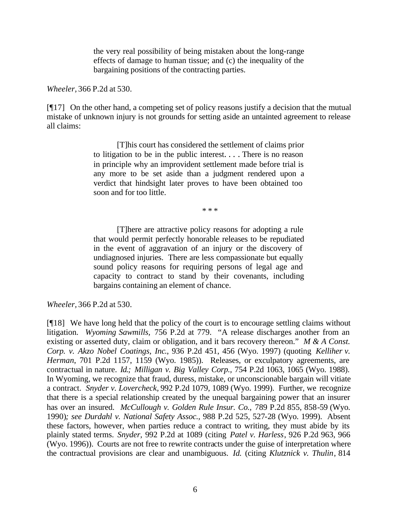the very real possibility of being mistaken about the long-range effects of damage to human tissue; and (c) the inequality of the bargaining positions of the contracting parties.

*Wheeler,* 366 P.2d at 530.

[¶17] On the other hand, a competing set of policy reasons justify a decision that the mutual mistake of unknown injury is not grounds for setting aside an untainted agreement to release all claims:

> [T]his court has considered the settlement of claims prior to litigation to be in the public interest. . . . There is no reason in principle why an improvident settlement made before trial is any more to be set aside than a judgment rendered upon a verdict that hindsight later proves to have been obtained too soon and for too little.

> > \* \* \*

[T]here are attractive policy reasons for adopting a rule that would permit perfectly honorable releases to be repudiated in the event of aggravation of an injury or the discovery of undiagnosed injuries. There are less compassionate but equally sound policy reasons for requiring persons of legal age and capacity to contract to stand by their covenants, including bargains containing an element of chance.

*Wheeler,* 366 P.2d at 530.

[¶18] We have long held that the policy of the court is to encourage settling claims without litigation. *Wyoming Sawmills,* 756 P.2d at 779. "A release discharges another from an existing or asserted duty, claim or obligation, and it bars recovery thereon." *M & A Const. Corp. v. Akzo Nobel Coatings, Inc*., 936 P.2d 451, 456 (Wyo. 1997) (quoting *Kelliher v. Herman*, 701 P.2d 1157, 1159 (Wyo. 1985)). Releases, or exculpatory agreements, are contractual in nature. *Id.; Milligan v. Big Valley Corp.,* 754 P.2d 1063, 1065 (Wyo. 1988). In Wyoming, we recognize that fraud, duress, mistake, or unconscionable bargain will vitiate a contract. *Snyder v. Lovercheck,* 992 P.2d 1079, 1089 (Wyo. 1999). Further, we recognize that there is a special relationship created by the unequal bargaining power that an insurer has over an insured. *McCullough v. Golden Rule Insur. Co.,* 789 P.2d 855, 858-59 (Wyo. 1990)*; see Durdahl v. National Safety Assoc.,* 988 P.2d 525, 527-28 (Wyo. 1999). Absent these factors, however, when parties reduce a contract to writing, they must abide by its plainly stated terms. *Snyder,* 992 P.2d at 1089 (citing *Patel v. Harless*, 926 P.2d 963, 966 (Wyo. 1996)). Courts are not free to rewrite contracts under the guise of interpretation where the contractual provisions are clear and unambiguous. *Id.* (citing *Klutznick v. Thulin*, 814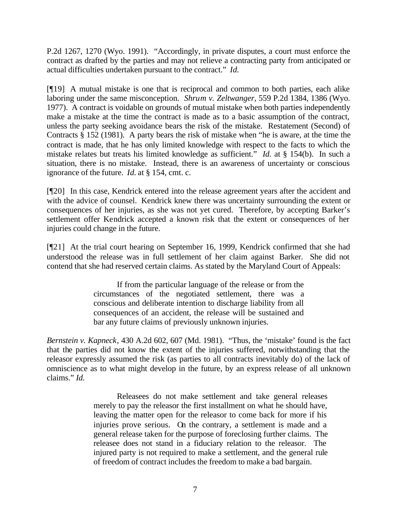P.2d 1267, 1270 (Wyo. 1991). "Accordingly, in private disputes, a court must enforce the contract as drafted by the parties and may not relieve a contracting party from anticipated or actual difficulties undertaken pursuant to the contract." *Id.*

[¶19] A mutual mistake is one that is reciprocal and common to both parties, each alike laboring under the same misconception. *Shrum v. Zeltwanger*, 559 P.2d 1384, 1386 (Wyo. 1977). A contract is voidable on grounds of mutual mistake when both parties independently make a mistake at the time the contract is made as to a basic assumption of the contract, unless the party seeking avoidance bears the risk of the mistake. Restatement (Second) of Contracts § 152 (1981). A party bears the risk of mistake when "he is aware, at the time the contract is made, that he has only limited knowledge with respect to the facts to which the mistake relates but treats his limited knowledge as sufficient." *Id.* at § 154(b). In such a situation, there is no mistake. Instead, there is an awareness of uncertainty or conscious ignorance of the future. *Id.* at § 154, cmt. c.

[¶20] In this case, Kendrick entered into the release agreement years after the accident and with the advice of counsel. Kendrick knew there was uncertainty surrounding the extent or consequences of her injuries, as she was not yet cured. Therefore, by accepting Barker's settlement offer Kendrick accepted a known risk that the extent or consequences of her injuries could change in the future.

[¶21] At the trial court hearing on September 16, 1999, Kendrick confirmed that she had understood the release was in full settlement of her claim against Barker. She did not contend that she had reserved certain claims. As stated by the Maryland Court of Appeals:

> If from the particular language of the release or from the circumstances of the negotiated settlement, there was a conscious and deliberate intention to discharge liability from all consequences of an accident, the release will be sustained and bar any future claims of previously unknown injuries.

*Bernstein v. Kapneck*, 430 A.2d 602, 607 (Md. 1981). "Thus, the 'mistake' found is the fact that the parties did not know the extent of the injuries suffered, notwithstanding that the releasor expressly assumed the risk (as parties to all contracts inevitably do) of the lack of omniscience as to what might develop in the future, by an express release of all unknown claims." *Id.* 

> Releasees do not make settlement and take general releases merely to pay the releasor the first installment on what he should have, leaving the matter open for the releasor to come back for more if his injuries prove serious. On the contrary, a settlement is made and a general release taken for the purpose of foreclosing further claims. The releasee does not stand in a fiduciary relation to the releasor. The injured party is not required to make a settlement, and the general rule of freedom of contract includes the freedom to make a bad bargain.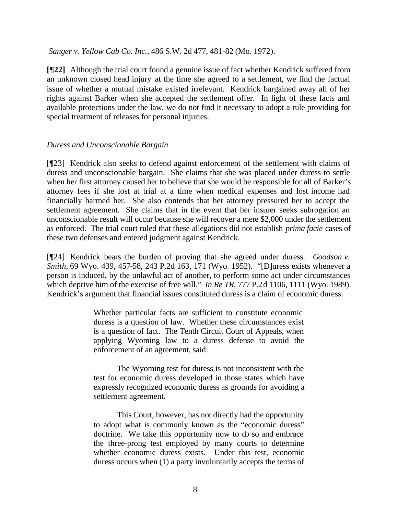*Sanger v. Yellow Cab Co. Inc.,* 486 S.W. 2d 477, 481-82 (Mo. 1972).

**[¶22]** Although the trial court found a genuine issue of fact whether Kendrick suffered from an unknown closed head injury at the time she agreed to a settlement, we find the factual issue of whether a mutual mistake existed irrelevant. Kendrick bargained away all of her rights against Barker when she accepted the settlement offer. In light of these facts and available protections under the law, we do not find it necessary to adopt a rule providing for special treatment of releases for personal injuries.

#### *Duress and Unconscionable Bargain*

[¶23] Kendrick also seeks to defend against enforcement of the settlement with claims of duress and unconscionable bargain. She claims that she was placed under duress to settle when her first attorney caused her to believe that she would be responsible for all of Barker's attorney fees if she lost at trial at a time when medical expenses and lost income had financially harmed her. She also contends that her attorney pressured her to accept the settlement agreement. She claims that in the event that her insurer seeks subrogation an unconscionable result will occur because she will recover a mere \$2,000 under the settlement as enforced. The trial court ruled that these allegations did not establish *prima facie* cases of these two defenses and entered judgment against Kendrick.

[¶24] Kendrick bears the burden of proving that she agreed under duress. *Goodson v. Smith,* 69 Wyo. 439, 457-58, 243 P.2d 163, 171 (Wyo. 1952). "[D]uress exists whenever a person is induced, by the unlawful act of another, to perform some act under circumstances which deprive him of the exercise of free will." *In Re TR*, 777 P.2d 1106, 1111 (Wyo. 1989). Kendrick's argument that financial issues constituted duress is a claim of economic duress.

> Whether particular facts are sufficient to constitute economic duress is a question of law. Whether these circumstances exist is a question of fact. The Tenth Circuit Court of Appeals, when applying Wyoming law to a duress defense to avoid the enforcement of an agreement, said:

> The Wyoming test for duress is not inconsistent with the test for economic duress developed in those states which have expressly recognized economic duress as grounds for avoiding a settlement agreement.

> This Court, however, has not directly had the opportunity to adopt what is commonly known as the "economic duress" doctrine. We take this opportunity now to do so and embrace the three-prong test employed by many courts to determine whether economic duress exists. Under this test, economic duress occurs when (1) a party involuntarily accepts the terms of